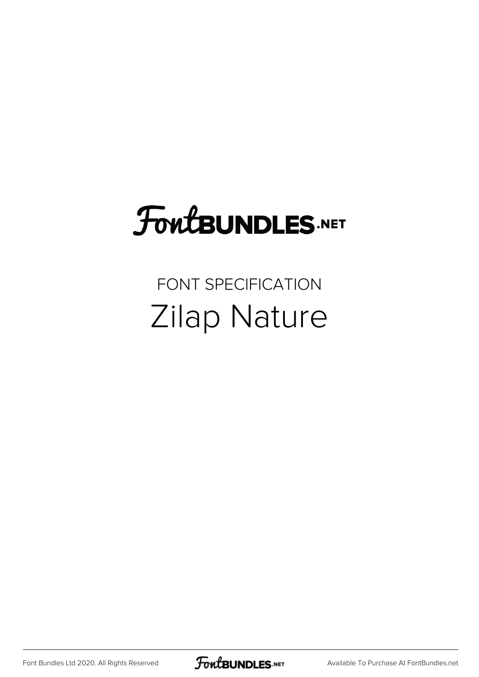# FoutBUNDLES.NET

### FONT SPECIFICATION Zilap Nature

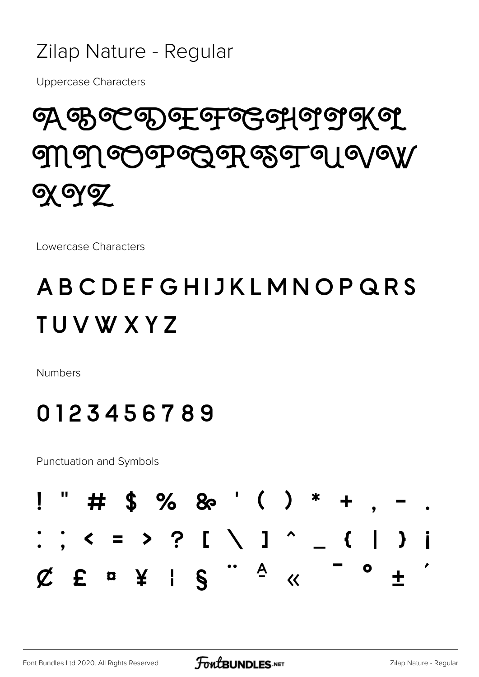#### Zilap Nature - Regular

**Uppercase Characters** 

## ၯၛႜၛၜၛၟၜႃၟၜႜၯၜၛၜၟၛၜ႞ ဤ၅) တမြော်တွေမှာ အေ့ရာရ ၂ ရ/ရ)/  $\alpha$  oy  $\sigma$

Lowercase Characters

### ABCDEFGHIJKLMNOPQRS **TUVWXYZ**

**Numbers** 

#### 0123456789

**Punctuation and Symbols** 

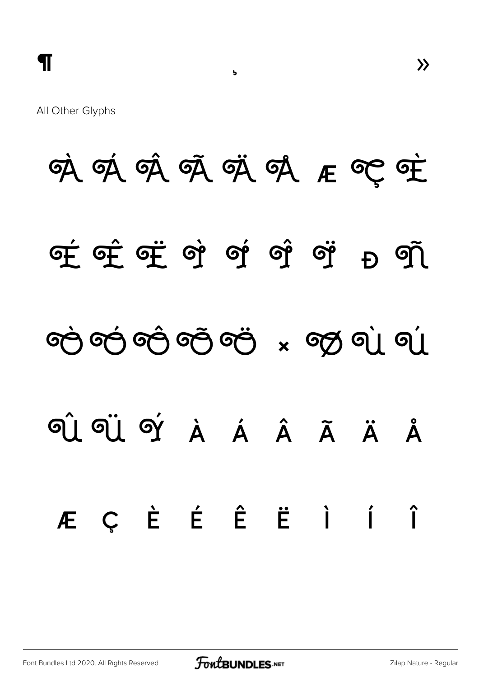All Other Glyphs

# 咳 咳 咳 咳 咳 咳 压 空 哇 <u>சு சேர் வந்து வந்து வந்து வந்து வந்து வந்து வந்து வந்து வந்து வந்து வந்து வந்து வந்து வந்து வந்து வந்து வந்து</u>  $E_{\rm D}$  ၏ တဲ့ တဲ့ တဲ့ တဲ့ တဲ့ x တွ ရဲ့ ရဲ GI GI GÝ À Á Â Ã Ä Å ÆÇÈÉÊËÌÍ  $\hat{I}$

 $\overline{b}$ 

 $\lambda$